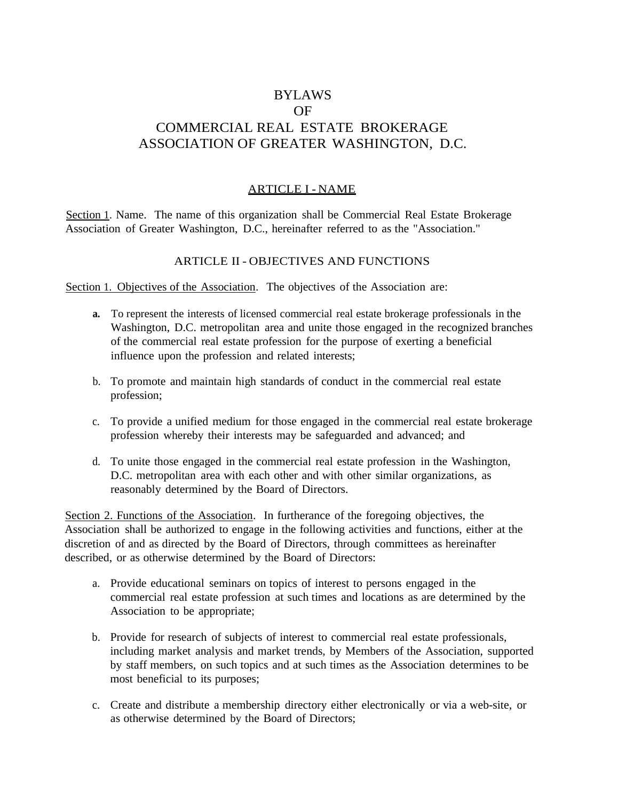# BYLAWS OF COMMERCIAL REAL ESTATE BROKERAGE ASSOCIATION OF GREATER WASHINGTON, D.C.

# ARTICLE I - NAME

Section 1. Name. The name of this organization shall be Commercial Real Estate Brokerage Association of Greater Washington, D.C., hereinafter referred to as the "Association."

#### ARTICLE II - OBJECTIVES AND FUNCTIONS

Section 1. Objectives of the Association. The objectives of the Association are:

- **a.** To represent the interests of licensed commercial real estate brokerage professionals in the Washington, D.C. metropolitan area and unite those engaged in the recognized branches of the commercial real estate profession for the purpose of exerting a beneficial influence upon the profession and related interests;
- b. To promote and maintain high standards of conduct in the commercial real estate profession;
- c. To provide a unified medium for those engaged in the commercial real estate brokerage profession whereby their interests may be safeguarded and advanced; and
- d. To unite those engaged in the commercial real estate profession in the Washington, D.C. metropolitan area with each other and with other similar organizations, as reasonably determined by the Board of Directors.

Section 2. Functions of the Association. In furtherance of the foregoing objectives, the Association shall be authorized to engage in the following activities and functions, either at the discretion of and as directed by the Board of Directors, through committees as hereinafter described, or as otherwise determined by the Board of Directors:

- a. Provide educational seminars on topics of interest to persons engaged in the commercial real estate profession at such times and locations as are determined by the Association to be appropriate;
- b. Provide for research of subjects of interest to commercial real estate professionals, including market analysis and market trends, by Members of the Association, supported by staff members, on such topics and at such times as the Association determines to be most beneficial to its purposes;
- c. Create and distribute a membership directory either electronically or via a web-site, or as otherwise determined by the Board of Directors;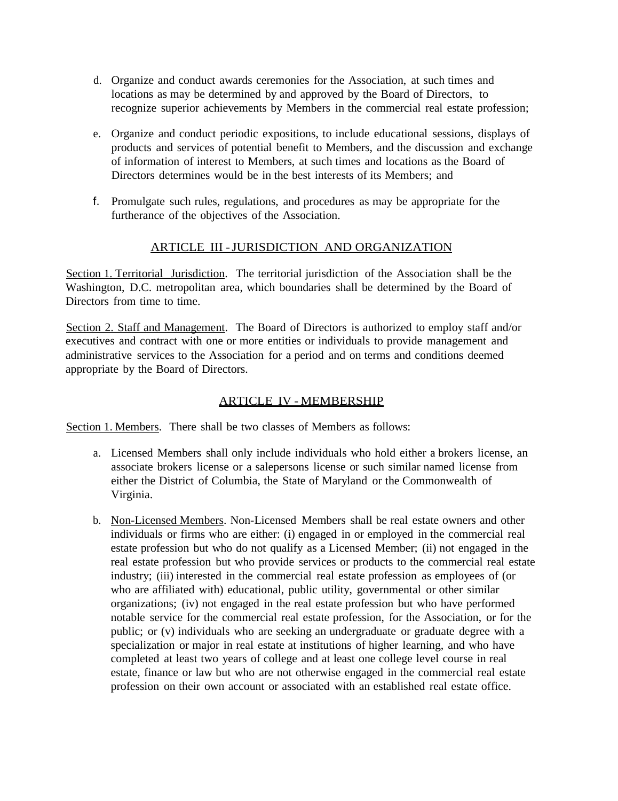- d. Organize and conduct awards ceremonies for the Association, at such times and locations as may be determined by and approved by the Board of Directors, to recognize superior achievements by Members in the commercial real estate profession;
- e. Organize and conduct periodic expositions, to include educational sessions, displays of products and services of potential benefit to Members, and the discussion and exchange of information of interest to Members, at such times and locations as the Board of Directors determines would be in the best interests of its Members; and
- f. Promulgate such rules, regulations, and procedures as may be appropriate for the furtherance of the objectives of the Association.

### ARTICLE III -JURISDICTION AND ORGANIZATION

Section 1. Territorial Jurisdiction. The territorial jurisdiction of the Association shall be the Washington, D.C. metropolitan area, which boundaries shall be determined by the Board of Directors from time to time.

Section 2. Staff and Management. The Board of Directors is authorized to employ staff and/or executives and contract with one or more entities or individuals to provide management and administrative services to the Association for a period and on terms and conditions deemed appropriate by the Board of Directors.

#### ARTICLE IV - MEMBERSHIP

Section 1. Members. There shall be two classes of Members as follows:

- a. Licensed Members shall only include individuals who hold either a brokers license, an associate brokers license or a salepersons license or such similar named license from either the District of Columbia, the State of Maryland or the Commonwealth of Virginia.
- b. Non-Licensed Members. Non-Licensed Members shall be real estate owners and other individuals or firms who are either: (i) engaged in or employed in the commercial real estate profession but who do not qualify as a Licensed Member; (ii) not engaged in the real estate profession but who provide services or products to the commercial real estate industry; (iii) interested in the commercial real estate profession as employees of (or who are affiliated with) educational, public utility, governmental or other similar organizations; (iv) not engaged in the real estate profession but who have performed notable service for the commercial real estate profession, for the Association, or for the public; or (v) individuals who are seeking an undergraduate or graduate degree with a specialization or major in real estate at institutions of higher learning, and who have completed at least two years of college and at least one college level course in real estate, finance or law but who are not otherwise engaged in the commercial real estate profession on their own account or associated with an established real estate office.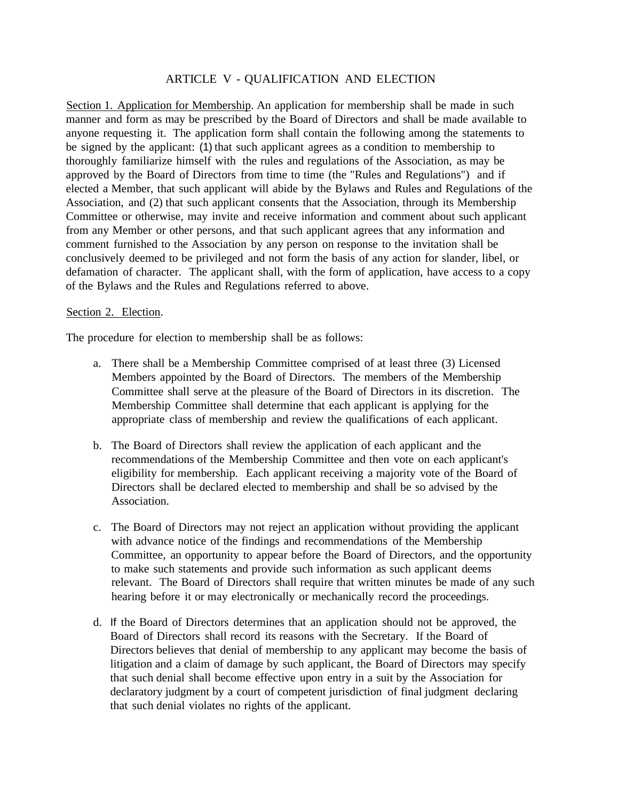#### ARTICLE V - QUALIFICATION AND ELECTION

Section 1. Application for Membership. An application for membership shall be made in such manner and form as may be prescribed by the Board of Directors and shall be made available to anyone requesting it. The application form shall contain the following among the statements to be signed by the applicant: (1) that such applicant agrees as a condition to membership to thoroughly familiarize himself with the rules and regulations of the Association, as may be approved by the Board of Directors from time to time (the "Rules and Regulations") and if elected a Member, that such applicant will abide by the Bylaws and Rules and Regulations of the Association, and (2) that such applicant consents that the Association, through its Membership Committee or otherwise, may invite and receive information and comment about such applicant from any Member or other persons, and that such applicant agrees that any information and comment furnished to the Association by any person on response to the invitation shall be conclusively deemed to be privileged and not form the basis of any action for slander, libel, or defamation of character. The applicant shall, with the form of application, have access to a copy of the Bylaws and the Rules and Regulations referred to above.

#### Section 2. Election.

The procedure for election to membership shall be as follows:

- a. There shall be a Membership Committee comprised of at least three (3) Licensed Members appointed by the Board of Directors. The members of the Membership Committee shall serve at the pleasure of the Board of Directors in its discretion. The Membership Committee shall determine that each applicant is applying for the appropriate class of membership and review the qualifications of each applicant.
- b. The Board of Directors shall review the application of each applicant and the recommendations of the Membership Committee and then vote on each applicant's eligibility for membership. Each applicant receiving a majority vote of the Board of Directors shall be declared elected to membership and shall be so advised by the Association.
- c. The Board of Directors may not reject an application without providing the applicant with advance notice of the findings and recommendations of the Membership Committee, an opportunity to appear before the Board of Directors, and the opportunity to make such statements and provide such information as such applicant deems relevant. The Board of Directors shall require that written minutes be made of any such hearing before it or may electronically or mechanically record the proceedings.
- d. If the Board of Directors determines that an application should not be approved, the Board of Directors shall record its reasons with the Secretary. If the Board of Directors believes that denial of membership to any applicant may become the basis of litigation and a claim of damage by such applicant, the Board of Directors may specify that such denial shall become effective upon entry in a suit by the Association for declaratory judgment by a court of competent jurisdiction of final judgment declaring that such denial violates no rights of the applicant.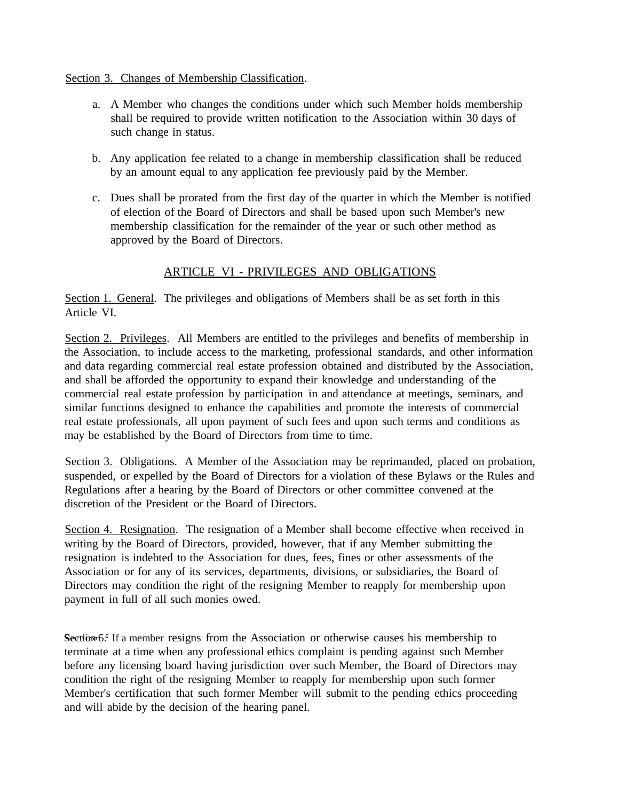#### Section 3. Changes of Membership Classification.

- a. A Member who changes the conditions under which such Member holds membership shall be required to provide written notification to the Association within 30 days of such change in status.
- b. Any application fee related to a change in membership classification shall be reduced by an amount equal to any application fee previously paid by the Member.
- c. Dues shall be prorated from the first day of the quarter in which the Member is notified of election of the Board of Directors and shall be based upon such Member's new membership classification for the remainder of the year or such other method as approved by the Board of Directors.

### ARTICLE VI - PRIVILEGES AND OBLIGATIONS

Section 1. General. The privileges and obligations of Members shall be as set forth in this Article VI.

Section 2. Privileges. All Members are entitled to the privileges and benefits of membership in the Association, to include access to the marketing, professional standards, and other information and data regarding commercial real estate profession obtained and distributed by the Association, and shall be afforded the opportunity to expand their knowledge and understanding of the commercial real estate profession by participation in and attendance at meetings, seminars, and similar functions designed to enhance the capabilities and promote the interests of commercial real estate professionals, all upon payment of such fees and upon such terms and conditions as may be established by the Board of Directors from time to time.

Section 3. Obligations. A Member of the Association may be reprimanded, placed on probation, suspended, or expelled by the Board of Directors for a violation of these Bylaws or the Rules and Regulations after a hearing by the Board of Directors or other committee convened at the discretion of the President or the Board of Directors.

Section 4. Resignation. The resignation of a Member shall become effective when received in writing by the Board of Directors, provided, however, that if any Member submitting the resignation is indebted to the Association for dues, fees, fines or other assessments of the Association or for any of its services, departments, divisions, or subsidiaries, the Board of Directors may condition the right of the resigning Member to reapply for membership upon payment in full of all such monies owed.

Section 5. If a member resigns from the Association or otherwise causes his membership to terminate at a time when any professional ethics complaint is pending against such Member before any licensing board having jurisdiction over such Member, the Board of Directors may condition the right of the resigning Member to reapply for membership upon such former Member's certification that such former Member will submit to the pending ethics proceeding and will abide by the decision of the hearing panel.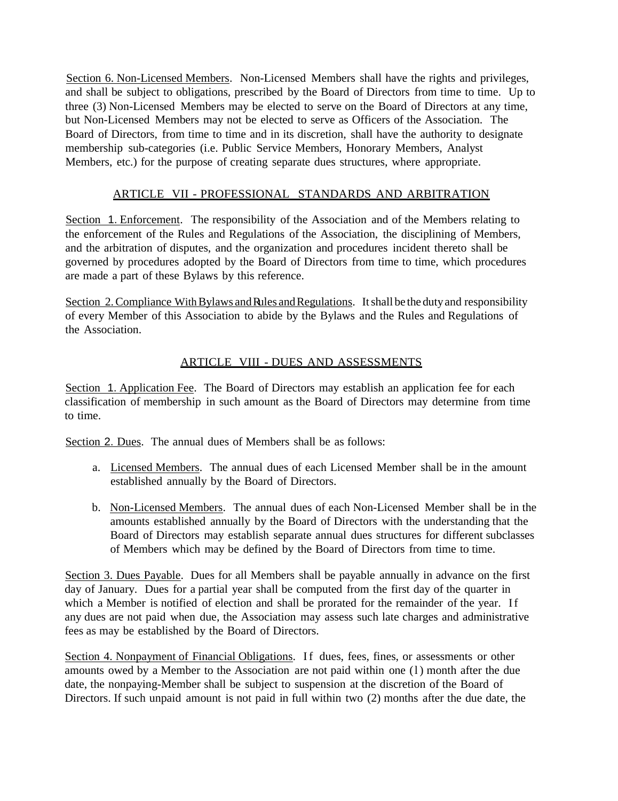Section 6. Non-Licensed Members. Non-Licensed Members shall have the rights and privileges, and shall be subject to obligations, prescribed by the Board of Directors from time to time. Up to three (3) Non-Licensed Members may be elected to serve on the Board of Directors at any time, but Non-Licensed Members may not be elected to serve as Officers of the Association. The Board of Directors, from time to time and in its discretion, shall have the authority to designate membership sub-categories (i.e. Public Service Members, Honorary Members, Analyst Members, etc.) for the purpose of creating separate dues structures, where appropriate.

### ARTICLE VII - PROFESSIONAL STANDARDS AND ARBITRATION

Section 1. Enforcement. The responsibility of the Association and of the Members relating to the enforcement of the Rules and Regulations of the Association, the disciplining of Members, and the arbitration of disputes, and the organization and procedures incident thereto shall be governed by procedures adopted by the Board of Directors from time to time, which procedures are made a part of these Bylaws by this reference.

Section 2. Compliance With Bylaws and Rules and Regulations. It shall be the duty and responsibility of every Member of this Association to abide by the Bylaws and the Rules and Regulations of the Association.

# ARTICLE VIII - DUES AND ASSESSMENTS

Section 1. Application Fee. The Board of Directors may establish an application fee for each classification of membership in such amount as the Board of Directors may determine from time to time.

Section 2. Dues. The annual dues of Members shall be as follows:

- a. Licensed Members. The annual dues of each Licensed Member shall be in the amount established annually by the Board of Directors.
- b. Non-Licensed Members. The annual dues of each Non-Licensed Member shall be in the amounts established annually by the Board of Directors with the understanding that the Board of Directors may establish separate annual dues structures for different subclasses of Members which may be defined by the Board of Directors from time to time.

Section 3. Dues Payable. Dues for all Members shall be payable annually in advance on the first day of January. Dues for a partial year shall be computed from the first day of the quarter in which a Member is notified of election and shall be prorated for the remainder of the year. If any dues are not paid when due, the Association may assess such late charges and administrative fees as may be established by the Board of Directors.

Section 4. Nonpayment of Financial Obligations. If dues, fees, fines, or assessments or other amounts owed by a Member to the Association are not paid within one (l) month after the due date, the nonpaying-Member shall be subject to suspension at the discretion of the Board of Directors. If such unpaid amount is not paid in full within two (2) months after the due date, the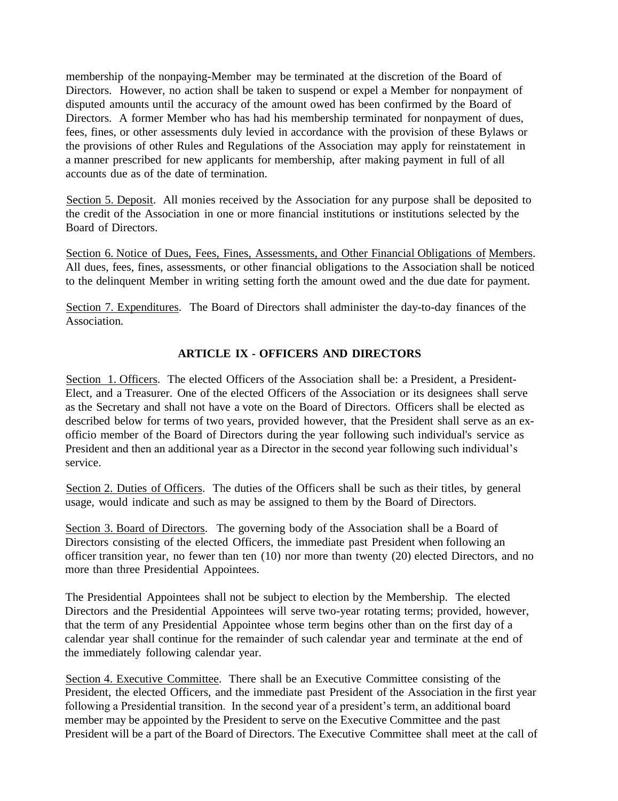membership of the nonpaying-Member may be terminated at the discretion of the Board of Directors. However, no action shall be taken to suspend or expel a Member for nonpayment of disputed amounts until the accuracy of the amount owed has been confirmed by the Board of Directors. A former Member who has had his membership terminated for nonpayment of dues, fees, fines, or other assessments duly levied in accordance with the provision of these Bylaws or the provisions of other Rules and Regulations of the Association may apply for reinstatement in a manner prescribed for new applicants for membership, after making payment in full of all accounts due as of the date of termination.

Section 5. Deposit. All monies received by the Association for any purpose shall be deposited to the credit of the Association in one or more financial institutions or institutions selected by the Board of Directors.

Section 6. Notice of Dues, Fees, Fines, Assessments, and Other Financial Obligations of Members. All dues, fees, fines, assessments, or other financial obligations to the Association shall be noticed to the delinquent Member in writing setting forth the amount owed and the due date for payment.

Section 7. Expenditures. The Board of Directors shall administer the day-to-day finances of the Association.

#### **ARTICLE IX - OFFICERS AND DIRECTORS**

Section 1. Officers. The elected Officers of the Association shall be: a President, a President-Elect, and a Treasurer. One of the elected Officers of the Association or its designees shall serve as the Secretary and shall not have a vote on the Board of Directors. Officers shall be elected as described below for terms of two years, provided however, that the President shall serve as an exofficio member of the Board of Directors during the year following such individual's service as President and then an additional year as a Director in the second year following such individual's service.

Section 2. Duties of Officers. The duties of the Officers shall be such as their titles, by general usage, would indicate and such as may be assigned to them by the Board of Directors.

Section 3. Board of Directors. The governing body of the Association shall be a Board of Directors consisting of the elected Officers, the immediate past President when following an officer transition year, no fewer than ten (10) nor more than twenty (20) elected Directors, and no more than three Presidential Appointees.

The Presidential Appointees shall not be subject to election by the Membership. The elected Directors and the Presidential Appointees will serve two-year rotating terms; provided, however, that the term of any Presidential Appointee whose term begins other than on the first day of a calendar year shall continue for the remainder of such calendar year and terminate at the end of the immediately following calendar year.

Section 4. Executive Committee. There shall be an Executive Committee consisting of the President, the elected Officers, and the immediate past President of the Association in the first year following a Presidential transition. In the second year of a president's term, an additional board member may be appointed by the President to serve on the Executive Committee and the past President will be a part of the Board of Directors. The Executive Committee shall meet at the call of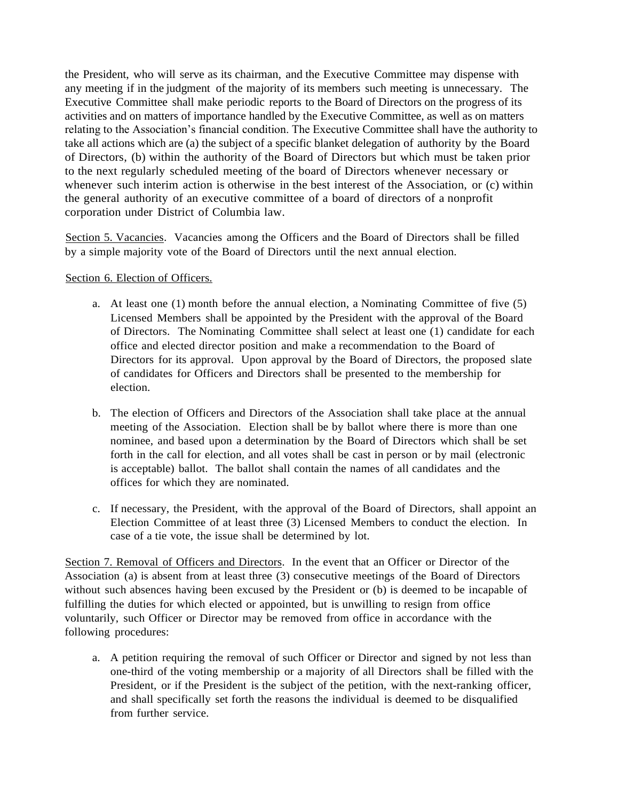the President, who will serve as its chairman, and the Executive Committee may dispense with any meeting if in the judgment of the majority of its members such meeting is unnecessary. The Executive Committee shall make periodic reports to the Board of Directors on the progress of its activities and on matters of importance handled by the Executive Committee, as well as on matters relating to the Association's financial condition. The Executive Committee shall have the authority to take all actions which are (a) the subject of a specific blanket delegation of authority by the Board of Directors, (b) within the authority of the Board of Directors but which must be taken prior to the next regularly scheduled meeting of the board of Directors whenever necessary or whenever such interim action is otherwise in the best interest of the Association, or (c) within the general authority of an executive committee of a board of directors of a nonprofit corporation under District of Columbia law.

Section 5. Vacancies. Vacancies among the Officers and the Board of Directors shall be filled by a simple majority vote of the Board of Directors until the next annual election.

#### Section 6. Election of Officers.

- a. At least one (1) month before the annual election, a Nominating Committee of five (5) Licensed Members shall be appointed by the President with the approval of the Board of Directors. The Nominating Committee shall select at least one (1) candidate for each office and elected director position and make a recommendation to the Board of Directors for its approval. Upon approval by the Board of Directors, the proposed slate of candidates for Officers and Directors shall be presented to the membership for election.
- b. The election of Officers and Directors of the Association shall take place at the annual meeting of the Association. Election shall be by ballot where there is more than one nominee, and based upon a determination by the Board of Directors which shall be set forth in the call for election, and all votes shall be cast in person or by mail (electronic is acceptable) ballot. The ballot shall contain the names of all candidates and the offices for which they are nominated.
- c. If necessary, the President, with the approval of the Board of Directors, shall appoint an Election Committee of at least three (3) Licensed Members to conduct the election. In case of a tie vote, the issue shall be determined by lot.

Section 7. Removal of Officers and Directors. In the event that an Officer or Director of the Association (a) is absent from at least three (3) consecutive meetings of the Board of Directors without such absences having been excused by the President or (b) is deemed to be incapable of fulfilling the duties for which elected or appointed, but is unwilling to resign from office voluntarily, such Officer or Director may be removed from office in accordance with the following procedures:

a. A petition requiring the removal of such Officer or Director and signed by not less than one-third of the voting membership or a majority of all Directors shall be filled with the President, or if the President is the subject of the petition, with the next-ranking officer, and shall specifically set forth the reasons the individual is deemed to be disqualified from further service.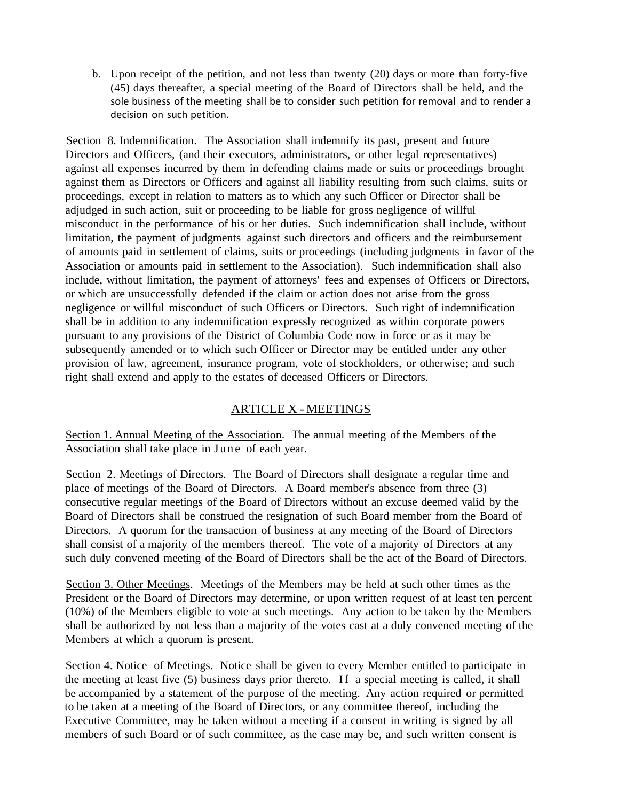b. Upon receipt of the petition, and not less than twenty (20) days or more than forty-five (45) days thereafter, a special meeting of the Board of Directors shall be held, and the sole business of the meeting shall be to consider such petition for removal and to render a decision on such petition.

Section 8. Indemnification. The Association shall indemnify its past, present and future Directors and Officers, (and their executors, administrators, or other legal representatives) against all expenses incurred by them in defending claims made or suits or proceedings brought against them as Directors or Officers and against all liability resulting from such claims, suits or proceedings, except in relation to matters as to which any such Officer or Director shall be adjudged in such action, suit or proceeding to be liable for gross negligence of willful misconduct in the performance of his or her duties. Such indemnification shall include, without limitation, the payment of judgments against such directors and officers and the reimbursement of amounts paid in settlement of claims, suits or proceedings (including judgments in favor of the Association or amounts paid in settlement to the Association). Such indemnification shall also include, without limitation, the payment of attorneys' fees and expenses of Officers or Directors, or which are unsuccessfully defended if the claim or action does not arise from the gross negligence or willful misconduct of such Officers or Directors. Such right of indemnification shall be in addition to any indemnification expressly recognized as within corporate powers pursuant to any provisions of the District of Columbia Code now in force or as it may be subsequently amended or to which such Officer or Director may be entitled under any other provision of law, agreement, insurance program, vote of stockholders, or otherwise; and such right shall extend and apply to the estates of deceased Officers or Directors.

# ARTICLE X - MEETINGS

Section 1. Annual Meeting of the Association. The annual meeting of the Members of the Association shall take place in June of each year.

Section 2. Meetings of Directors. The Board of Directors shall designate a regular time and place of meetings of the Board of Directors. A Board member's absence from three (3) consecutive regular meetings of the Board of Directors without an excuse deemed valid by the Board of Directors shall be construed the resignation of such Board member from the Board of Directors. A quorum for the transaction of business at any meeting of the Board of Directors shall consist of a majority of the members thereof. The vote of a majority of Directors at any such duly convened meeting of the Board of Directors shall be the act of the Board of Directors.

Section 3. Other Meetings. Meetings of the Members may be held at such other times as the President or the Board of Directors may determine, or upon written request of at least ten percent (10%) of the Members eligible to vote at such meetings. Any action to be taken by the Members shall be authorized by not less than a majority of the votes cast at a duly convened meeting of the Members at which a quorum is present.

Section 4. Notice of Meetings. Notice shall be given to every Member entitled to participate in the meeting at least five (5) business days prior thereto. If a special meeting is called, it shall be accompanied by a statement of the purpose of the meeting. Any action required or permitted to be taken at a meeting of the Board of Directors, or any committee thereof, including the Executive Committee, may be taken without a meeting if a consent in writing is signed by all members of such Board or of such committee, as the case may be, and such written consent is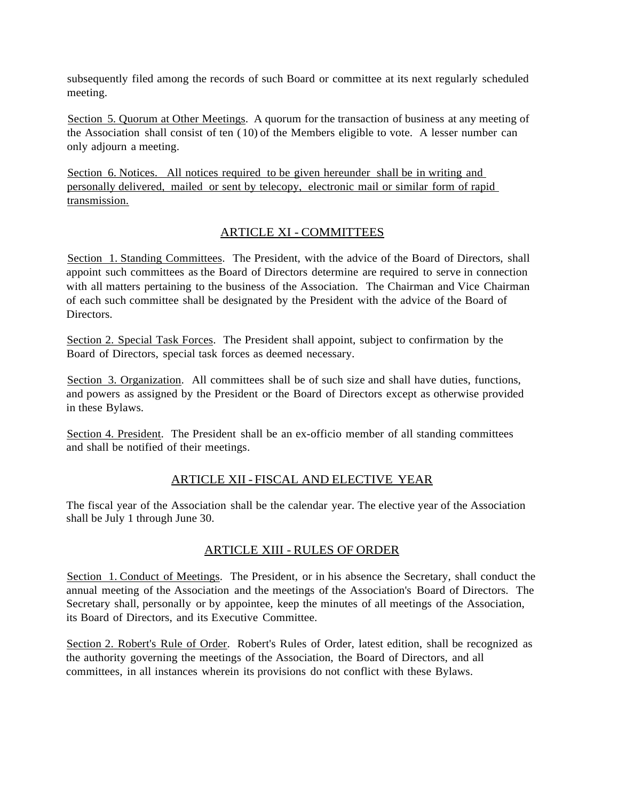subsequently filed among the records of such Board or committee at its next regularly scheduled meeting.

Section 5. Quorum at Other Meetings. A quorum for the transaction of business at any meeting of the Association shall consist of ten (10) of the Members eligible to vote. A lesser number can only adjourn a meeting.

Section 6. Notices. All notices required to be given hereunder shall be in writing and personally delivered, mailed or sent by telecopy, electronic mail or similar form of rapid transmission.

### ARTICLE XI - COMMITTEES

Section 1. Standing Committees. The President, with the advice of the Board of Directors, shall appoint such committees as the Board of Directors determine are required to serve in connection with all matters pertaining to the business of the Association. The Chairman and Vice Chairman of each such committee shall be designated by the President with the advice of the Board of **Directors** 

Section 2. Special Task Forces. The President shall appoint, subject to confirmation by the Board of Directors, special task forces as deemed necessary.

Section 3. Organization. All committees shall be of such size and shall have duties, functions, and powers as assigned by the President or the Board of Directors except as otherwise provided in these Bylaws.

Section 4. President. The President shall be an ex-officio member of all standing committees and shall be notified of their meetings.

# ARTICLE XII - FISCAL AND ELECTIVE YEAR

The fiscal year of the Association shall be the calendar year. The elective year of the Association shall be July 1 through June 30.

# ARTICLE XIII - RULES OF ORDER

Section 1. Conduct of Meetings. The President, or in his absence the Secretary, shall conduct the annual meeting of the Association and the meetings of the Association's Board of Directors. The Secretary shall, personally or by appointee, keep the minutes of all meetings of the Association, its Board of Directors, and its Executive Committee.

Section 2. Robert's Rule of Order. Robert's Rules of Order, latest edition, shall be recognized as the authority governing the meetings of the Association, the Board of Directors, and all committees, in all instances wherein its provisions do not conflict with these Bylaws.